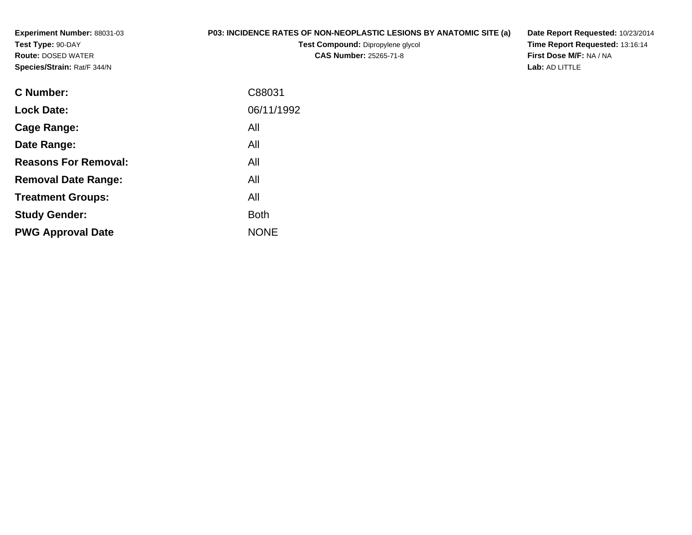**Experiment Number:** 88031-03**Test Type:** 90-DAY **Route:** DOSED WATER**Species/Strain:** Rat/F 344/N

## **P03: INCIDENCE RATES OF NON-NEOPLASTIC LESIONS BY ANATOMIC SITE (a)**

**Test Compound:** Dipropylene glycol **CAS Number:** 25265-71-8

**Date Report Requested:** 10/23/2014 **Time Report Requested:** 13:16:14**First Dose M/F:** NA / NA**Lab:** AD LITTLE

| C88031      |
|-------------|
| 06/11/1992  |
| All         |
| All         |
| All         |
| All         |
| All         |
| <b>Both</b> |
| <b>NONE</b> |
|             |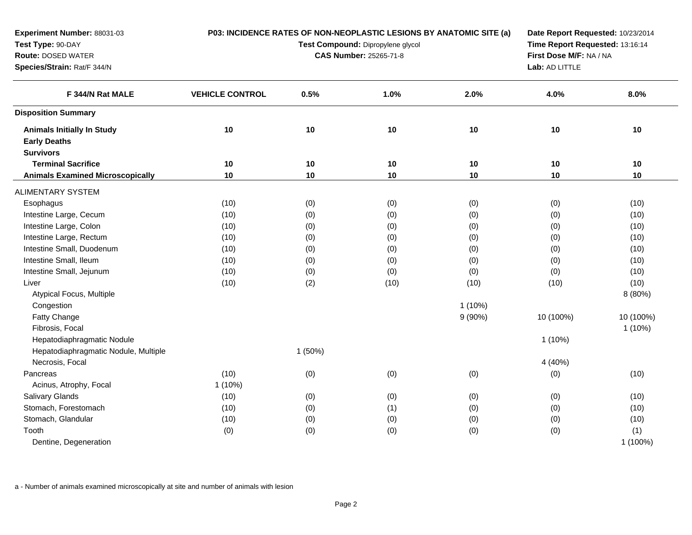| Experiment Number: 88031-03<br>Test Type: 90-DAY<br>Route: DOSED WATER<br>Species/Strain: Rat/F 344/N | P03: INCIDENCE RATES OF NON-NEOPLASTIC LESIONS BY ANATOMIC SITE (a) | Date Report Requested: 10/23/2014<br>Time Report Requested: 13:16:14<br>First Dose M/F: NA / NA<br>Lab: AD LITTLE |      |           |           |                 |
|-------------------------------------------------------------------------------------------------------|---------------------------------------------------------------------|-------------------------------------------------------------------------------------------------------------------|------|-----------|-----------|-----------------|
| F 344/N Rat MALE                                                                                      | <b>VEHICLE CONTROL</b>                                              | 0.5%                                                                                                              | 1.0% | 2.0%      | 4.0%      | 8.0%            |
| <b>Disposition Summary</b>                                                                            |                                                                     |                                                                                                                   |      |           |           |                 |
| <b>Animals Initially In Study</b><br><b>Early Deaths</b><br><b>Survivors</b>                          | 10                                                                  | 10                                                                                                                | 10   | 10        | 10        | 10              |
| <b>Terminal Sacrifice</b>                                                                             | 10                                                                  | 10                                                                                                                | 10   | 10        | 10        | 10              |
| <b>Animals Examined Microscopically</b>                                                               | 10                                                                  | 10                                                                                                                | 10   | 10        | 10        | 10              |
| <b>ALIMENTARY SYSTEM</b>                                                                              |                                                                     |                                                                                                                   |      |           |           |                 |
| Esophagus                                                                                             | (10)                                                                | (0)                                                                                                               | (0)  | (0)       | (0)       | (10)            |
| Intestine Large, Cecum                                                                                | (10)                                                                | (0)                                                                                                               | (0)  | (0)       | (0)       | (10)            |
| Intestine Large, Colon                                                                                | (10)                                                                | (0)                                                                                                               | (0)  | (0)       | (0)       | (10)            |
| Intestine Large, Rectum                                                                               | (10)                                                                | (0)                                                                                                               | (0)  | (0)       | (0)       | (10)            |
| Intestine Small, Duodenum                                                                             | (10)                                                                | (0)                                                                                                               | (0)  | (0)       | (0)       | (10)            |
| Intestine Small, Ileum                                                                                | (10)                                                                | (0)                                                                                                               | (0)  | (0)       | (0)       | (10)            |
| Intestine Small, Jejunum                                                                              | (10)                                                                | (0)                                                                                                               | (0)  | (0)       | (0)       | (10)            |
| Liver                                                                                                 | (10)                                                                | (2)                                                                                                               | (10) | (10)      | (10)      | (10)            |
| Atypical Focus, Multiple                                                                              |                                                                     |                                                                                                                   |      |           |           | 8 (80%)         |
| Congestion                                                                                            |                                                                     |                                                                                                                   |      | $1(10\%)$ |           |                 |
| Fatty Change                                                                                          |                                                                     |                                                                                                                   |      | $9(90\%)$ | 10 (100%) | 10 (100%)       |
| Fibrosis, Focal                                                                                       |                                                                     |                                                                                                                   |      |           |           | $1(10\%)$       |
| Hepatodiaphragmatic Nodule                                                                            |                                                                     |                                                                                                                   |      |           | $1(10\%)$ |                 |
| Hepatodiaphragmatic Nodule, Multiple                                                                  |                                                                     | 1(50%)                                                                                                            |      |           |           |                 |
| Necrosis, Focal                                                                                       |                                                                     |                                                                                                                   |      |           | 4 (40%)   |                 |
| Pancreas                                                                                              | (10)                                                                | (0)                                                                                                               | (0)  | (0)       | (0)       | (10)            |
| Acinus, Atrophy, Focal                                                                                | $1(10\%)$                                                           |                                                                                                                   |      |           |           |                 |
| <b>Salivary Glands</b>                                                                                | (10)                                                                | (0)                                                                                                               | (0)  | (0)       | (0)       | (10)            |
| Stomach, Forestomach                                                                                  | (10)                                                                | (0)                                                                                                               | (1)  | (0)       | (0)       | (10)            |
| Stomach, Glandular                                                                                    | (10)                                                                | (0)                                                                                                               | (0)  | (0)       | (0)       | (10)            |
| Tooth<br>Dentine, Degeneration                                                                        | (0)                                                                 | (0)                                                                                                               | (0)  | (0)       | (0)       | (1)<br>1 (100%) |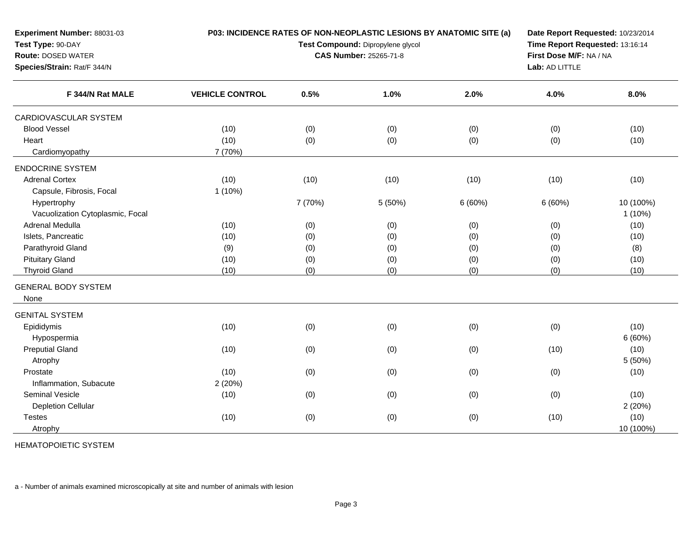| Experiment Number: 88031-03             |                        |         | P03: INCIDENCE RATES OF NON-NEOPLASTIC LESIONS BY ANATOMIC SITE (a) |                | Date Report Requested: 10/23/2014<br>Time Report Requested: 13:16:14<br>First Dose M/F: NA / NA |           |  |  |
|-----------------------------------------|------------------------|---------|---------------------------------------------------------------------|----------------|-------------------------------------------------------------------------------------------------|-----------|--|--|
| Test Type: 90-DAY<br>Route: DOSED WATER |                        |         | Test Compound: Dipropylene glycol<br>CAS Number: 25265-71-8         |                |                                                                                                 |           |  |  |
| Species/Strain: Rat/F 344/N             |                        |         |                                                                     | Lab: AD LITTLE |                                                                                                 |           |  |  |
| F 344/N Rat MALE                        | <b>VEHICLE CONTROL</b> | 0.5%    | 1.0%                                                                | 2.0%           | 4.0%                                                                                            | 8.0%      |  |  |
| CARDIOVASCULAR SYSTEM                   |                        |         |                                                                     |                |                                                                                                 |           |  |  |
| <b>Blood Vessel</b>                     | (10)                   | (0)     | (0)                                                                 | (0)            | (0)                                                                                             | (10)      |  |  |
| Heart                                   | (10)                   | (0)     | (0)                                                                 | (0)            | (0)                                                                                             | (10)      |  |  |
| Cardiomyopathy                          | 7 (70%)                |         |                                                                     |                |                                                                                                 |           |  |  |
| <b>ENDOCRINE SYSTEM</b>                 |                        |         |                                                                     |                |                                                                                                 |           |  |  |
| <b>Adrenal Cortex</b>                   | (10)                   | (10)    | (10)                                                                | (10)           | (10)                                                                                            | (10)      |  |  |
| Capsule, Fibrosis, Focal                | 1(10%)                 |         |                                                                     |                |                                                                                                 |           |  |  |
| Hypertrophy                             |                        | 7 (70%) | 5 (50%)                                                             | 6(60%)         | 6(60%)                                                                                          | 10 (100%) |  |  |
| Vacuolization Cytoplasmic, Focal        |                        |         |                                                                     |                |                                                                                                 | $1(10\%)$ |  |  |
| Adrenal Medulla                         | (10)                   | (0)     | (0)                                                                 | (0)            | (0)                                                                                             | (10)      |  |  |
| Islets, Pancreatic                      | (10)                   | (0)     | (0)                                                                 | (0)            | (0)                                                                                             | (10)      |  |  |
| Parathyroid Gland                       | (9)                    | (0)     | (0)                                                                 | (0)            | (0)                                                                                             | (8)       |  |  |
| <b>Pituitary Gland</b>                  | (10)                   | (0)     | (0)                                                                 | (0)            | (0)                                                                                             | (10)      |  |  |
| <b>Thyroid Gland</b>                    | (10)                   | (0)     | (0)                                                                 | (0)            | (0)                                                                                             | (10)      |  |  |
| <b>GENERAL BODY SYSTEM</b>              |                        |         |                                                                     |                |                                                                                                 |           |  |  |
| None                                    |                        |         |                                                                     |                |                                                                                                 |           |  |  |
| <b>GENITAL SYSTEM</b>                   |                        |         |                                                                     |                |                                                                                                 |           |  |  |
| Epididymis                              | (10)                   | (0)     | (0)                                                                 | (0)            | (0)                                                                                             | (10)      |  |  |
| Hypospermia                             |                        |         |                                                                     |                |                                                                                                 | 6(60%)    |  |  |
| <b>Preputial Gland</b>                  | (10)                   | (0)     | (0)                                                                 | (0)            | (10)                                                                                            | (10)      |  |  |
| Atrophy                                 |                        |         |                                                                     |                |                                                                                                 | 5(50%)    |  |  |
| Prostate                                | (10)                   | (0)     | (0)                                                                 | (0)            | (0)                                                                                             | (10)      |  |  |
| Inflammation, Subacute                  | 2(20%)                 |         |                                                                     |                |                                                                                                 |           |  |  |
| <b>Seminal Vesicle</b>                  | (10)                   | (0)     | (0)                                                                 | (0)            | (0)                                                                                             | (10)      |  |  |
| Depletion Cellular                      |                        |         |                                                                     |                |                                                                                                 | 2(20%)    |  |  |
| <b>Testes</b>                           | (10)                   | (0)     | (0)                                                                 | (0)            | (10)                                                                                            | (10)      |  |  |
| Atrophy                                 |                        |         |                                                                     |                |                                                                                                 | 10 (100%) |  |  |

HEMATOPOIETIC SYSTEM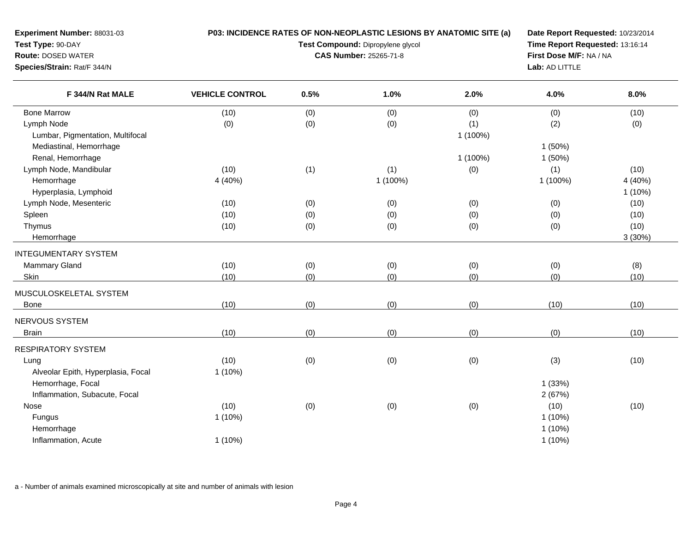| Experiment Number: 88031-03        | P03: INCIDENCE RATES OF NON-NEOPLASTIC LESIONS BY ANATOMIC SITE (a) | Date Report Requested: 10/23/2014 |                                   |          |                                 |                                                                                |  |  |  |
|------------------------------------|---------------------------------------------------------------------|-----------------------------------|-----------------------------------|----------|---------------------------------|--------------------------------------------------------------------------------|--|--|--|
| Test Type: 90-DAY                  |                                                                     |                                   | Test Compound: Dipropylene glycol |          | Time Report Requested: 13:16:14 |                                                                                |  |  |  |
| Route: DOSED WATER                 |                                                                     |                                   | CAS Number: 25265-71-8            |          |                                 | First Dose M/F: NA / NA<br>4.0%<br>8.0%<br>(0)<br>(10)<br>(2)<br>(0)<br>1(50%) |  |  |  |
| Species/Strain: Rat/F 344/N        |                                                                     |                                   |                                   |          | Lab: AD LITTLE                  |                                                                                |  |  |  |
| F 344/N Rat MALE                   | <b>VEHICLE CONTROL</b>                                              | 0.5%                              | 1.0%                              | 2.0%     |                                 |                                                                                |  |  |  |
| <b>Bone Marrow</b>                 | (10)                                                                | (0)                               | (0)                               | (0)      |                                 |                                                                                |  |  |  |
| Lymph Node                         | (0)                                                                 | (0)                               | (0)                               | (1)      |                                 |                                                                                |  |  |  |
| Lumbar, Pigmentation, Multifocal   |                                                                     |                                   |                                   | 1 (100%) |                                 |                                                                                |  |  |  |
| Mediastinal, Hemorrhage            |                                                                     |                                   |                                   |          |                                 |                                                                                |  |  |  |
| Renal, Hemorrhage                  |                                                                     |                                   |                                   | 1 (100%) | 1(50%)                          |                                                                                |  |  |  |
| Lymph Node, Mandibular             | (10)                                                                | (1)                               | (1)                               | (0)      | (1)                             | (10)                                                                           |  |  |  |
| Hemorrhage                         | 4 (40%)                                                             |                                   | 1 (100%)                          |          | 1 (100%)                        | 4 (40%)                                                                        |  |  |  |
| Hyperplasia, Lymphoid              |                                                                     |                                   |                                   |          |                                 | $1(10\%)$                                                                      |  |  |  |
| Lymph Node, Mesenteric             | (10)                                                                | (0)                               | (0)                               | (0)      | (0)                             | (10)                                                                           |  |  |  |
| Spleen                             | (10)                                                                | (0)                               | (0)                               | (0)      | (0)                             | (10)                                                                           |  |  |  |
| Thymus                             | (10)                                                                | (0)                               | (0)                               | (0)      | (0)                             | (10)                                                                           |  |  |  |
| Hemorrhage                         |                                                                     |                                   |                                   |          |                                 | 3(30%)                                                                         |  |  |  |
| <b>INTEGUMENTARY SYSTEM</b>        |                                                                     |                                   |                                   |          |                                 |                                                                                |  |  |  |
| <b>Mammary Gland</b>               | (10)                                                                | (0)                               | (0)                               | (0)      | (0)                             | (8)                                                                            |  |  |  |
| Skin                               | (10)                                                                | (0)                               | (0)                               | (0)      | (0)                             | (10)                                                                           |  |  |  |
| MUSCULOSKELETAL SYSTEM             |                                                                     |                                   |                                   |          |                                 |                                                                                |  |  |  |
| Bone                               | (10)                                                                | (0)                               | (0)                               | (0)      | (10)                            | (10)                                                                           |  |  |  |
| NERVOUS SYSTEM                     |                                                                     |                                   |                                   |          |                                 |                                                                                |  |  |  |
| <b>Brain</b>                       | (10)                                                                | (0)                               | (0)                               | (0)      | (0)                             | (10)                                                                           |  |  |  |
| <b>RESPIRATORY SYSTEM</b>          |                                                                     |                                   |                                   |          |                                 |                                                                                |  |  |  |
| Lung                               | (10)                                                                | (0)                               | (0)                               | (0)      | (3)                             | (10)                                                                           |  |  |  |
| Alveolar Epith, Hyperplasia, Focal | 1(10%)                                                              |                                   |                                   |          |                                 |                                                                                |  |  |  |
| Hemorrhage, Focal                  |                                                                     |                                   |                                   |          | 1(33%)                          |                                                                                |  |  |  |
| Inflammation, Subacute, Focal      |                                                                     |                                   |                                   |          | 2(67%)                          |                                                                                |  |  |  |
| Nose                               | (10)                                                                | (0)                               | (0)                               | (0)      | (10)                            | (10)                                                                           |  |  |  |
| Fungus                             | 1(10%)                                                              |                                   |                                   |          | $1(10\%)$                       |                                                                                |  |  |  |
| Hemorrhage                         |                                                                     |                                   |                                   |          | $1(10\%)$                       |                                                                                |  |  |  |
| Inflammation, Acute                | 1(10%)                                                              |                                   |                                   |          | $1(10\%)$                       |                                                                                |  |  |  |
|                                    |                                                                     |                                   |                                   |          |                                 |                                                                                |  |  |  |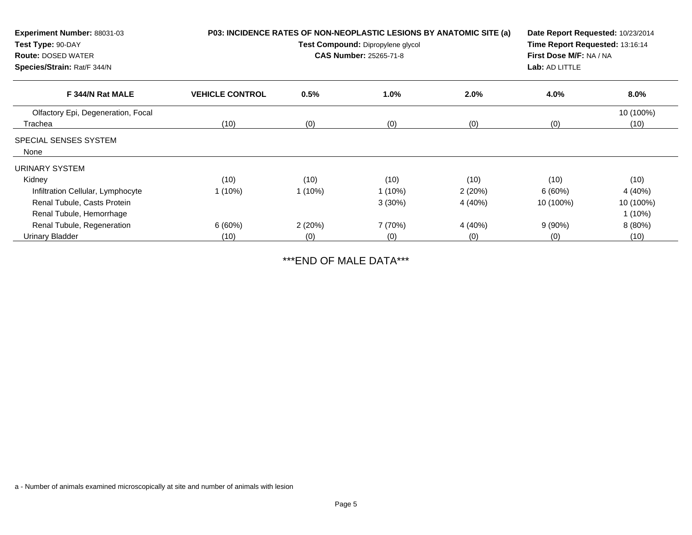| Experiment Number: 88031-03<br>Test Type: 90-DAY<br><b>Route: DOSED WATER</b><br>Species/Strain: Rat/F 344/N | P03: INCIDENCE RATES OF NON-NEOPLASTIC LESIONS BY ANATOMIC SITE (a)<br>Date Report Requested: 10/23/2014<br>Time Report Requested: 13:16:14<br>Test Compound: Dipropylene glycol<br>First Dose M/F: NA / NA<br><b>CAS Number: 25265-71-8</b><br>Lab: AD LITTLE |           |           |         |           |                   |
|--------------------------------------------------------------------------------------------------------------|----------------------------------------------------------------------------------------------------------------------------------------------------------------------------------------------------------------------------------------------------------------|-----------|-----------|---------|-----------|-------------------|
| F 344/N Rat MALE                                                                                             | <b>VEHICLE CONTROL</b>                                                                                                                                                                                                                                         | 0.5%      | 1.0%      | $2.0\%$ | 4.0%      | 8.0%              |
| Olfactory Epi, Degeneration, Focal<br>Trachea                                                                | (10)                                                                                                                                                                                                                                                           | (0)       | (0)       | (0)     | (0)       | 10 (100%)<br>(10) |
| SPECIAL SENSES SYSTEM<br>None                                                                                |                                                                                                                                                                                                                                                                |           |           |         |           |                   |
| URINARY SYSTEM                                                                                               |                                                                                                                                                                                                                                                                |           |           |         |           |                   |
| Kidney                                                                                                       | (10)                                                                                                                                                                                                                                                           | (10)      | (10)      | (10)    | (10)      | (10)              |
| Infiltration Cellular, Lymphocyte                                                                            | $1(10\%)$                                                                                                                                                                                                                                                      | $1(10\%)$ | $1(10\%)$ | 2(20%)  | 6(60%)    | 4 (40%)           |
| Renal Tubule, Casts Protein                                                                                  |                                                                                                                                                                                                                                                                |           | $3(30\%)$ | 4 (40%) | 10 (100%) | 10 (100%)         |
| Renal Tubule, Hemorrhage                                                                                     |                                                                                                                                                                                                                                                                |           |           |         |           | $1(10\%)$         |
| Renal Tubule, Regeneration                                                                                   | 6(60%)                                                                                                                                                                                                                                                         | 2(20%)    | 7 (70%)   | 4 (40%) | 9(90%)    | 8(80%)            |
| Urinary Bladder                                                                                              | (10)                                                                                                                                                                                                                                                           | (0)       | (0)       | (0)     | (0)       | (10)              |

\*\*\*END OF MALE DATA\*\*\*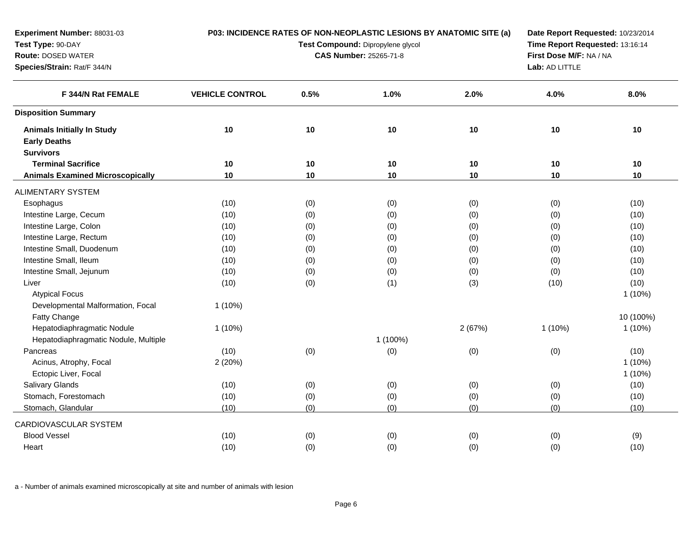| Experiment Number: 88031-03             | P03: INCIDENCE RATES OF NON-NEOPLASTIC LESIONS BY ANATOMIC SITE (a)<br>Date Report Requested: 10/23/2014 |      |                                   |        |                                 |           |  |  |
|-----------------------------------------|----------------------------------------------------------------------------------------------------------|------|-----------------------------------|--------|---------------------------------|-----------|--|--|
| Test Type: 90-DAY                       |                                                                                                          |      | Test Compound: Dipropylene glycol |        | Time Report Requested: 13:16:14 |           |  |  |
| <b>Route: DOSED WATER</b>               |                                                                                                          |      | <b>CAS Number: 25265-71-8</b>     |        | First Dose M/F: NA / NA         |           |  |  |
| Species/Strain: Rat/F 344/N             |                                                                                                          |      |                                   |        | Lab: AD LITTLE                  |           |  |  |
| F 344/N Rat FEMALE                      | <b>VEHICLE CONTROL</b>                                                                                   | 0.5% | 1.0%                              | 2.0%   | 4.0%                            | 8.0%      |  |  |
| <b>Disposition Summary</b>              |                                                                                                          |      |                                   |        |                                 |           |  |  |
| <b>Animals Initially In Study</b>       | 10                                                                                                       | 10   | 10                                | 10     | 10                              | 10        |  |  |
| <b>Early Deaths</b>                     |                                                                                                          |      |                                   |        |                                 |           |  |  |
| <b>Survivors</b>                        |                                                                                                          |      |                                   |        |                                 |           |  |  |
| <b>Terminal Sacrifice</b>               | 10                                                                                                       | 10   | 10                                | 10     | 10                              | 10        |  |  |
| <b>Animals Examined Microscopically</b> | 10                                                                                                       | 10   | 10                                | 10     | 10                              | $10$      |  |  |
| <b>ALIMENTARY SYSTEM</b>                |                                                                                                          |      |                                   |        |                                 |           |  |  |
| Esophagus                               | (10)                                                                                                     | (0)  | (0)                               | (0)    | (0)                             | (10)      |  |  |
| Intestine Large, Cecum                  | (10)                                                                                                     | (0)  | (0)                               | (0)    | (0)                             | (10)      |  |  |
| Intestine Large, Colon                  | (10)                                                                                                     | (0)  | (0)                               | (0)    | (0)                             | (10)      |  |  |
| Intestine Large, Rectum                 | (10)                                                                                                     | (0)  | (0)                               | (0)    | (0)                             | (10)      |  |  |
| Intestine Small, Duodenum               | (10)                                                                                                     | (0)  | (0)                               | (0)    | (0)                             | (10)      |  |  |
| Intestine Small, Ileum                  | (10)                                                                                                     | (0)  | (0)                               | (0)    | (0)                             | (10)      |  |  |
| Intestine Small, Jejunum                | (10)                                                                                                     | (0)  | (0)                               | (0)    | (0)                             | (10)      |  |  |
| Liver                                   | (10)                                                                                                     | (0)  | (1)                               | (3)    | (10)                            | (10)      |  |  |
| <b>Atypical Focus</b>                   |                                                                                                          |      |                                   |        |                                 | $1(10\%)$ |  |  |
| Developmental Malformation, Focal       | $1(10\%)$                                                                                                |      |                                   |        |                                 |           |  |  |
| Fatty Change                            |                                                                                                          |      |                                   |        |                                 | 10 (100%) |  |  |
| Hepatodiaphragmatic Nodule              | $1(10\%)$                                                                                                |      |                                   | 2(67%) | $1(10\%)$                       | $1(10\%)$ |  |  |
| Hepatodiaphragmatic Nodule, Multiple    |                                                                                                          |      | 1 (100%)                          |        |                                 |           |  |  |
| Pancreas                                | (10)                                                                                                     | (0)  | (0)                               | (0)    | (0)                             | (10)      |  |  |
| Acinus, Atrophy, Focal                  | 2(20%)                                                                                                   |      |                                   |        |                                 | $1(10\%)$ |  |  |
| Ectopic Liver, Focal                    |                                                                                                          |      |                                   |        |                                 | $1(10\%)$ |  |  |
| Salivary Glands                         | (10)                                                                                                     | (0)  | (0)                               | (0)    | (0)                             | (10)      |  |  |
| Stomach, Forestomach                    | (10)                                                                                                     | (0)  | (0)                               | (0)    | (0)                             | (10)      |  |  |
| Stomach, Glandular                      | (10)                                                                                                     | (0)  | (0)                               | (0)    | (0)                             | (10)      |  |  |
| CARDIOVASCULAR SYSTEM                   |                                                                                                          |      |                                   |        |                                 |           |  |  |
| <b>Blood Vessel</b>                     | (10)                                                                                                     | (0)  | (0)                               | (0)    | (0)                             | (9)       |  |  |
| Heart                                   | (10)                                                                                                     | (0)  | (0)                               | (0)    | (0)                             | (10)      |  |  |
|                                         |                                                                                                          |      |                                   |        |                                 |           |  |  |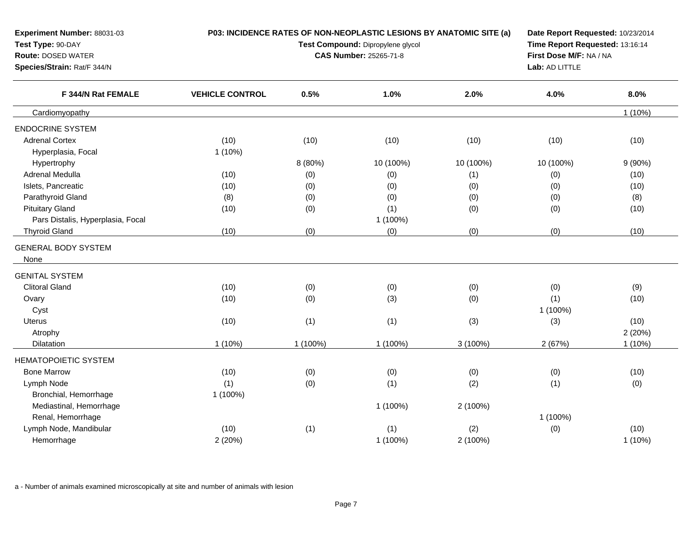| <b>Experiment Number: 88031-03</b><br>Test Type: 90-DAY<br>Route: DOSED WATER<br>Species/Strain: Rat/F 344/N |                        |          | P03: INCIDENCE RATES OF NON-NEOPLASTIC LESIONS BY ANATOMIC SITE (a)<br>Date Report Requested: 10/23/2014<br>Time Report Requested: 13:16:14<br>Test Compound: Dipropylene glycol<br>First Dose M/F: NA / NA<br><b>CAS Number: 25265-71-8</b><br>Lab: AD LITTLE |            |           |           |  |
|--------------------------------------------------------------------------------------------------------------|------------------------|----------|----------------------------------------------------------------------------------------------------------------------------------------------------------------------------------------------------------------------------------------------------------------|------------|-----------|-----------|--|
| F 344/N Rat FEMALE                                                                                           | <b>VEHICLE CONTROL</b> | 0.5%     | 1.0%                                                                                                                                                                                                                                                           | 2.0%       | 4.0%      | 8.0%      |  |
| Cardiomyopathy                                                                                               |                        |          |                                                                                                                                                                                                                                                                |            |           | $1(10\%)$ |  |
| <b>ENDOCRINE SYSTEM</b>                                                                                      |                        |          |                                                                                                                                                                                                                                                                |            |           |           |  |
| <b>Adrenal Cortex</b>                                                                                        | (10)                   | (10)     | (10)                                                                                                                                                                                                                                                           | (10)       | (10)      | (10)      |  |
| Hyperplasia, Focal                                                                                           | $1(10\%)$              |          |                                                                                                                                                                                                                                                                |            |           |           |  |
| Hypertrophy                                                                                                  |                        | 8 (80%)  | 10 (100%)                                                                                                                                                                                                                                                      | 10 (100%)  | 10 (100%) | $9(90\%)$ |  |
| Adrenal Medulla                                                                                              | (10)                   | (0)      | (0)                                                                                                                                                                                                                                                            | (1)        | (0)       | (10)      |  |
| Islets, Pancreatic                                                                                           | (10)                   | (0)      | (0)                                                                                                                                                                                                                                                            | (0)        | (0)       | (10)      |  |
| Parathyroid Gland                                                                                            | (8)                    | (0)      | (0)                                                                                                                                                                                                                                                            | (0)        | (0)       | (8)       |  |
| <b>Pituitary Gland</b>                                                                                       | (10)                   | (0)      | (1)                                                                                                                                                                                                                                                            | (0)        | (0)       | (10)      |  |
| Pars Distalis, Hyperplasia, Focal                                                                            |                        |          | 1 (100%)                                                                                                                                                                                                                                                       |            |           |           |  |
| <b>Thyroid Gland</b>                                                                                         | (10)                   | (0)      | (0)                                                                                                                                                                                                                                                            | (0)        | (0)       | (10)      |  |
| <b>GENERAL BODY SYSTEM</b><br>None                                                                           |                        |          |                                                                                                                                                                                                                                                                |            |           |           |  |
| <b>GENITAL SYSTEM</b>                                                                                        |                        |          |                                                                                                                                                                                                                                                                |            |           |           |  |
| <b>Clitoral Gland</b>                                                                                        | (10)                   | (0)      | (0)                                                                                                                                                                                                                                                            | (0)        | (0)       | (9)       |  |
| Ovary                                                                                                        | (10)                   | (0)      | (3)                                                                                                                                                                                                                                                            | (0)        | (1)       | (10)      |  |
| Cyst                                                                                                         |                        |          |                                                                                                                                                                                                                                                                |            | 1 (100%)  |           |  |
| Uterus                                                                                                       | (10)                   | (1)      | (1)                                                                                                                                                                                                                                                            | (3)        | (3)       | (10)      |  |
| Atrophy                                                                                                      |                        |          |                                                                                                                                                                                                                                                                |            |           | 2(20%)    |  |
| Dilatation                                                                                                   | $1(10\%)$              | 1 (100%) | 1 (100%)                                                                                                                                                                                                                                                       | $3(100\%)$ | 2(67%)    | $1(10\%)$ |  |
| HEMATOPOIETIC SYSTEM                                                                                         |                        |          |                                                                                                                                                                                                                                                                |            |           |           |  |
| <b>Bone Marrow</b>                                                                                           | (10)                   | (0)      | (0)                                                                                                                                                                                                                                                            | (0)        | (0)       | (10)      |  |
| Lymph Node                                                                                                   | (1)                    | (0)      | (1)                                                                                                                                                                                                                                                            | (2)        | (1)       | (0)       |  |
| Bronchial, Hemorrhage                                                                                        | 1 (100%)               |          |                                                                                                                                                                                                                                                                |            |           |           |  |
| Mediastinal, Hemorrhage                                                                                      |                        |          | 1 (100%)                                                                                                                                                                                                                                                       | 2 (100%)   |           |           |  |
| Renal, Hemorrhage                                                                                            |                        |          |                                                                                                                                                                                                                                                                |            | 1 (100%)  |           |  |
| Lymph Node, Mandibular                                                                                       | (10)                   | (1)      | (1)                                                                                                                                                                                                                                                            | (2)        | (0)       | (10)      |  |
| Hemorrhage                                                                                                   | 2(20%)                 |          | 1 (100%)                                                                                                                                                                                                                                                       | 2 (100%)   |           | 1 (10%)   |  |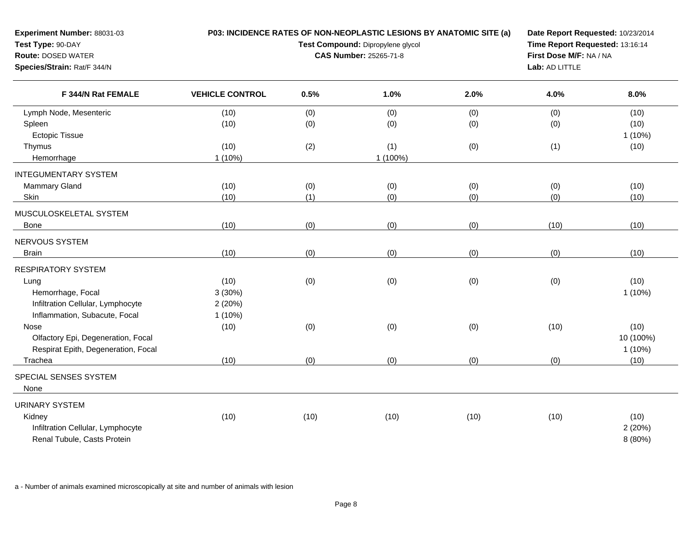| Experiment Number: 88031-03                                      |                        |      | P03: INCIDENCE RATES OF NON-NEOPLASTIC LESIONS BY ANATOMIC SITE (a) | Date Report Requested: 10/23/2014 |                                 |                   |  |  |
|------------------------------------------------------------------|------------------------|------|---------------------------------------------------------------------|-----------------------------------|---------------------------------|-------------------|--|--|
| Test Type: 90-DAY                                                |                        |      | Test Compound: Dipropylene glycol                                   |                                   | Time Report Requested: 13:16:14 |                   |  |  |
| <b>Route: DOSED WATER</b>                                        |                        |      | <b>CAS Number: 25265-71-8</b>                                       |                                   | First Dose M/F: NA / NA         |                   |  |  |
| Species/Strain: Rat/F 344/N                                      |                        |      |                                                                     |                                   | Lab: AD LITTLE                  |                   |  |  |
| F 344/N Rat FEMALE                                               | <b>VEHICLE CONTROL</b> | 0.5% | 1.0%                                                                | 2.0%                              | 4.0%                            | 8.0%              |  |  |
| Lymph Node, Mesenteric                                           | (10)                   | (0)  | (0)                                                                 | (0)                               | (0)                             | (10)              |  |  |
| Spleen                                                           | (10)                   | (0)  | (0)                                                                 | (0)                               | (0)                             | (10)              |  |  |
| <b>Ectopic Tissue</b>                                            |                        |      |                                                                     |                                   |                                 | $1(10\%)$         |  |  |
| Thymus                                                           | (10)                   | (2)  | (1)                                                                 | (0)                               | (1)                             | (10)              |  |  |
| Hemorrhage                                                       | $1(10\%)$              |      | 1 (100%)                                                            |                                   |                                 |                   |  |  |
| <b>INTEGUMENTARY SYSTEM</b>                                      |                        |      |                                                                     |                                   |                                 |                   |  |  |
| Mammary Gland                                                    | (10)                   | (0)  | (0)                                                                 | (0)                               | (0)                             | (10)              |  |  |
| Skin                                                             | (10)                   | (1)  | (0)                                                                 | (0)                               | (0)                             | (10)              |  |  |
| MUSCULOSKELETAL SYSTEM                                           |                        |      |                                                                     |                                   |                                 |                   |  |  |
| <b>Bone</b>                                                      | (10)                   | (0)  | (0)                                                                 | (0)                               | (10)                            | (10)              |  |  |
|                                                                  |                        |      |                                                                     |                                   |                                 |                   |  |  |
| <b>NERVOUS SYSTEM</b>                                            |                        |      |                                                                     |                                   |                                 |                   |  |  |
| <b>Brain</b>                                                     | (10)                   | (0)  | (0)                                                                 | (0)                               | (0)                             | (10)              |  |  |
| <b>RESPIRATORY SYSTEM</b>                                        |                        |      |                                                                     |                                   |                                 |                   |  |  |
| Lung                                                             | (10)                   | (0)  | (0)                                                                 | (0)                               | (0)                             | (10)              |  |  |
| Hemorrhage, Focal                                                | 3 (30%)                |      |                                                                     |                                   |                                 | $1(10\%)$         |  |  |
| Infiltration Cellular, Lymphocyte                                | 2(20%)                 |      |                                                                     |                                   |                                 |                   |  |  |
| Inflammation, Subacute, Focal                                    | 1(10%)                 |      |                                                                     |                                   |                                 |                   |  |  |
| Nose                                                             | (10)                   | (0)  | (0)                                                                 | (0)                               | (10)                            | (10)              |  |  |
| Olfactory Epi, Degeneration, Focal                               |                        |      |                                                                     |                                   |                                 | 10 (100%)         |  |  |
| Respirat Epith, Degeneration, Focal                              |                        |      |                                                                     |                                   |                                 | $1(10\%)$         |  |  |
| Trachea                                                          | (10)                   | (0)  | (0)                                                                 | (0)                               | (0)                             | (10)              |  |  |
| SPECIAL SENSES SYSTEM                                            |                        |      |                                                                     |                                   |                                 |                   |  |  |
| None                                                             |                        |      |                                                                     |                                   |                                 |                   |  |  |
|                                                                  |                        |      |                                                                     |                                   |                                 |                   |  |  |
| <b>URINARY SYSTEM</b>                                            |                        |      |                                                                     |                                   |                                 |                   |  |  |
| Kidney                                                           | (10)                   | (10) | (10)                                                                | (10)                              | (10)                            | (10)              |  |  |
| Infiltration Cellular, Lymphocyte<br>Renal Tubule, Casts Protein |                        |      |                                                                     |                                   |                                 | 2(20%)<br>8 (80%) |  |  |
|                                                                  |                        |      |                                                                     |                                   |                                 |                   |  |  |